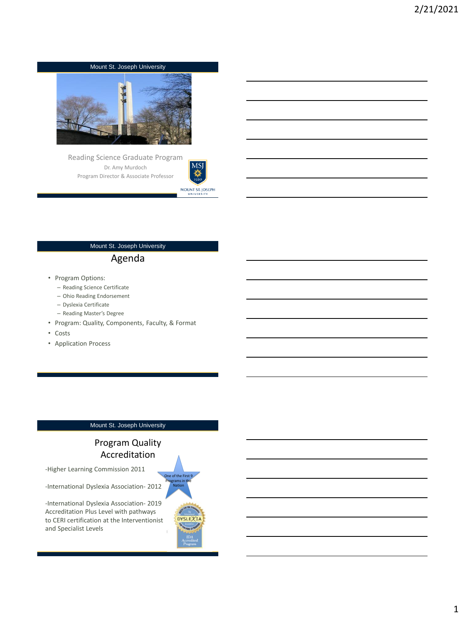

Reading Science Graduate Program Dr. Amy Murdoch Program Director & Associate Professor



#### Mount St. Joseph University

# Agenda

- Program Options:
	- Reading Science Certificate
	- Ohio Reading Endorsement
	- Dyslexia Certificate
	- Reading Master's Degree
- Program: Quality, Components, Faculty, & Format
- Costs
- Application Process

#### Mount St. Joseph University

# Program Quality Accreditation

-Higher Learning Commission 2011

-International Dyslexia Association- 2012

-International Dyslexia Association- 2019 Accreditation Plus Level with pathways to CERI certification at the Interventionist and Specialist Levels

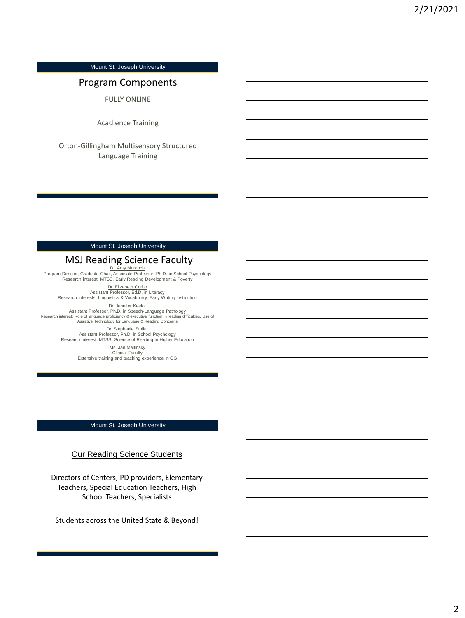# Program Components

FULLY ONLINE

Acadience Training

Orton-Gillingham Multisensory Structured Language Training

### Mount St. Joseph University

# MSJ Reading Science Faculty

Dr. Amy Murdoch Program Director, Graduate Chair, Associate Professor; Ph.D. in School Psychology Research interest: MTSS, Early Reading Development & Poverty

Dr. Elizabeth Corbo<br>Assistant Professor, Ed.D. in Literacy

Research interests: Linguistics & Vocabulary, Early Writing Instruction

Dr. Jennifer Keelor Assistant Professor, Ph.D. in Speech-Language Pathology<br>Research interest: Role of language proficiency & executive function in reading difficulties, Use of<br>Research interest: Assistive Technology for Language & Reading Co

> Dr. Stephanie Stollar<br>Assistant Professor, Ph.D. in School Psychology Research interest: MTSS, Science of Reading in Higher Education

> > Ms. Jan Maltinsky Clinical Faculty Extensive training and teaching experience in OG

#### Mount St. Joseph University

### Our Reading Science Students

Directors of Centers, PD providers, Elementary Teachers, Special Education Teachers, High School Teachers, Specialists

Students across the United State & Beyond!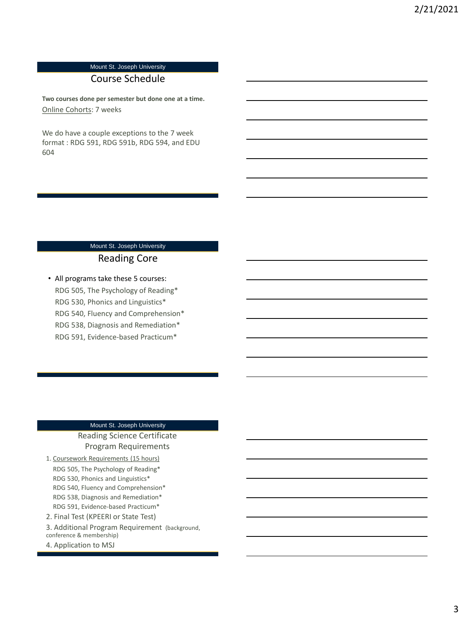# Course Schedule

**Two courses done per semester but done one at a time.**  Online Cohorts: 7 weeks

We do have a couple exceptions to the 7 week format : RDG 591, RDG 591b, RDG 594, and EDU 604

# Mount St. Joseph University Reading Core

• All programs take these 5 courses: RDG 505, The Psychology of Reading\* RDG 530, Phonics and Linguistics\* RDG 540, Fluency and Comprehension\* RDG 538, Diagnosis and Remediation\* RDG 591, Evidence-based Practicum\*

## Mount St. Joseph University

## Reading Science Certificate Program Requirements

1. Coursework Requirements (15 hours) RDG 505, The Psychology of Reading\* RDG 530, Phonics and Linguistics\* RDG 540, Fluency and Comprehension\* RDG 538, Diagnosis and Remediation\* RDG 591, Evidence-based Practicum\* 2. Final Test (KPEERI or State Test)

- 3. Additional Program Requirement (background, conference & membership)
- 4. Application to MSJ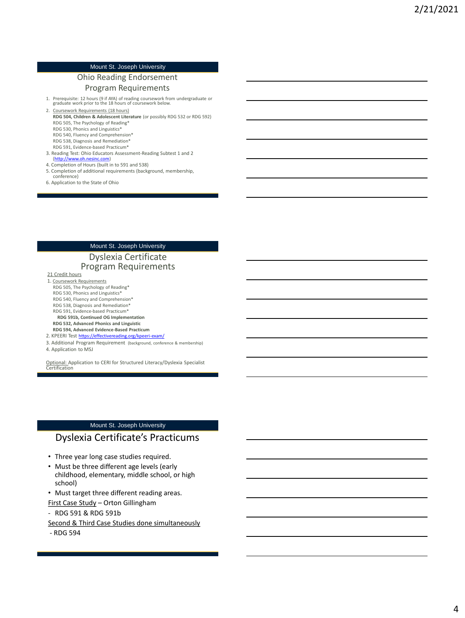### Ohio Reading Endorsement

#### Program Requirements

1. Prerequisite: 12 hours (9 if AYA) of reading coursework from undergraduate or graduate work prior to the 18 hours of coursework below.

2. Coursework Requirements (18 hours) **RDG 504, Children & Adolescent Literature** (or possibly RDG 532 or RDG 592)

RDG 505, The Psychology of Reading\*

RDG 530, Phonics and Linguistics\* RDG 540, Fluency and Comprehension\*

- RDG 538, Diagnosis and Remediation\*
- RDG 591, Evidence-based Practicum\*
- 3. Reading Test: Ohio Educators Assessment-Reading Subtest 1 and 2 [\(http://www.oh.nesinc.com\)](http://www.oh.nesinc.com/)
- 4. Completion of Hours (built in to 591 and 538)
- 5. Completion of additional requirements (background, membership, conference)
- 6. Application to the State of Ohio

#### Mount St. Joseph University

### Dyslexia Certificate Program Requirements

21 Credit hours

- 1. Coursework Requirements RDG 505, The Psychology of Reading\*
- RDG 530, Phonics and Linguistics\*
- RDG 540, Fluency and Comprehension\*
- RDG 538, Diagnosis and Remediation\*
- RDG 591, Evidence-based Practicum\*

#### **RDG 591b, Continued OG Implementation RDG 532, Advanced Phonics and Linguistic**

- **RDG 594, Advanced Evidence-Based Practicum**
- 2. KPEERI Test <https://effectivereading.org/kpeeri-exam/>
- 3. Additional Program Requirement (background, conference & membership) 4. Application to MSJ

Optional: Application to CERI for Structured Literacy/Dyslexia Specialist Certification

#### Mount St. Joseph University

## Dyslexia Certificate's Practicums

- Three year long case studies required.
- Must be three different age levels (early childhood, elementary, middle school, or high school)
- Must target three different reading areas.
- First Case Study Orton Gillingham
- RDG 591 & RDG 591b
- Second & Third Case Studies done simultaneously
- RDG 594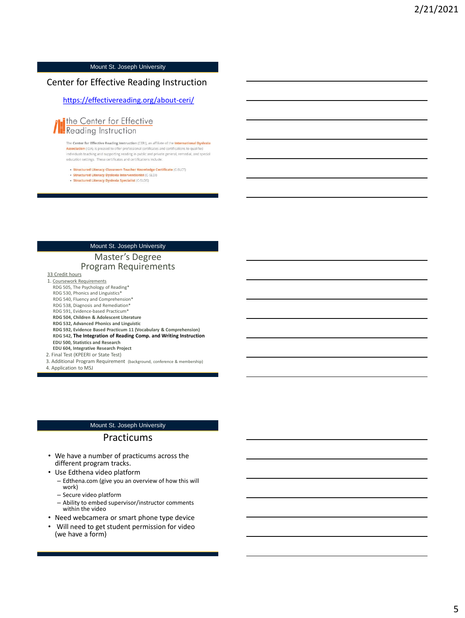## Center for Effective Reading Instruction

#### <https://effectivereading.org/about-ceri/>



The Center for Effective Reading Instruction (CERI), an affiliate of the **International Dyslexia Association** (IDA), is pleased to offer professional certificates and certifications to qualified individuals teaching and supporting reading in public and private general, remedial, and special education settings. These certificates and certifications include:

- · Structured Literacy Classroom Teacher Knowledge Certificate (C-SLCT)
- · Structured Literacy Dyslexia Interventionist (C-SLDI)
- · Structured Literacy Dyslexia Specialist (C-SLDS)

#### Mount St. Joseph University

### Master's Degree Program Requirements

33 Credit hours

- 1. Coursework Requirements RDG 505, The Psychology of Reading\*
- RDG 530, Phonics and Linguistics\*
- RDG 540, Fluency and Comprehension\*
- RDG 538, Diagnosis and Remediation\*
- RDG 591, Evidence-based Practicum\*
- **RDG 504, Children & Adolescent Literature**
- **RDG 532, Advanced Phonics and Linguistic**
- **RDG 592, Evidence Based Practicum 11 (Vocabulary & Comprehension) RDG 542, The Integration of Reading Comp. and Writing Instruction**
- **EDU 500, Statistics and Research**
- **EDU 604, Integrative Research Project**
- 2. Final Test (KPEERI or State Test)
- 3. Additional Program Requirement (background, conference & membership)

4. Application to MSJ

#### Mount St. Joseph University

#### Practicums

- We have a number of practicums across the different program tracks.
- Use Edthena video platform
	- Edthena.com (give you an overview of how this will work)
	- Secure video platform
	- Ability to embed supervisor/instructor comments within the video
- Need webcamera or smart phone type device
- Will need to get student permission for video (we have a form)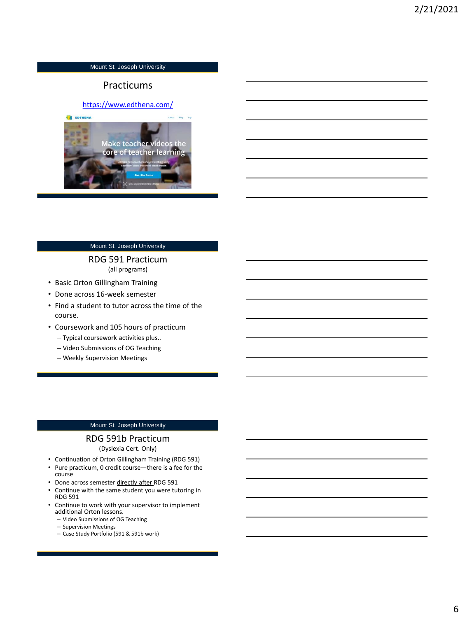# **Practicums**

#### <https://www.edthena.com/>



#### Mount St. Joseph University

#### RDG 591 Practicum (all programs)

- Basic Orton Gillingham Training
- Done across 16-week semester
- Find a student to tutor across the time of the course.
- Coursework and 105 hours of practicum
	- Typical coursework activities plus..
	- Video Submissions of OG Teaching
	- Weekly Supervision Meetings

#### Mount St. Joseph University

#### RDG 591b Practicum

(Dyslexia Cert. Only)

- Continuation of Orton Gillingham Training (RDG 591)
- Pure practicum, 0 credit course—there is a fee for the course
- Done across semester directly after RDG 591
- Continue with the same student you were tutoring in RDG 591
- Continue to work with your supervisor to implement additional Orton lessons.
	- Video Submissions of OG Teaching
	- Supervision Meetings
	- Case Study Portfolio (591 & 591b work)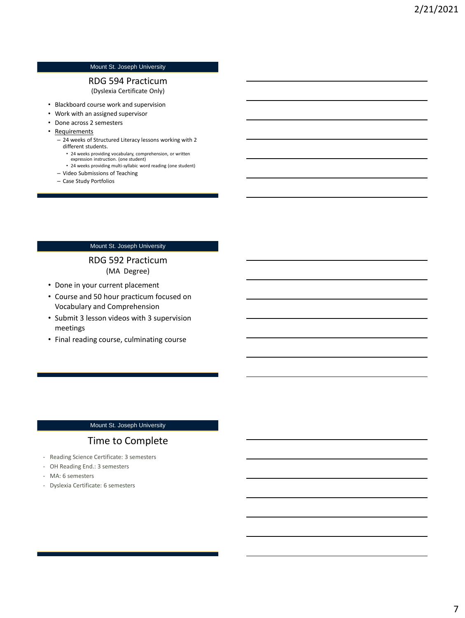#### RDG 594 Practicum (Dyslexia Certificate Only)

- Blackboard course work and supervision
- Work with an assigned supervisor
- Done across 2 semesters
- Requirements
	- 24 weeks of Structured Literacy lessons working with 2 different students.
		- 24 weeks providing vocabulary, comprehension, or written expression instruction. (one student)
		- 24 weeks providing multi-syllabic word reading (one student)
	- Video Submissions of Teaching
	- Case Study Portfolios

#### Mount St. Joseph University

## RDG 592 Practicum (MA Degree)

- Done in your current placement
- Course and 50 hour practicum focused on Vocabulary and Comprehension
- Submit 3 lesson videos with 3 supervision meetings
- Final reading course, culminating course

#### Mount St. Joseph University

# Time to Complete

- Reading Science Certificate: 3 semesters
- OH Reading End.: 3 semesters
- MA: 6 semesters
- Dyslexia Certificate: 6 semesters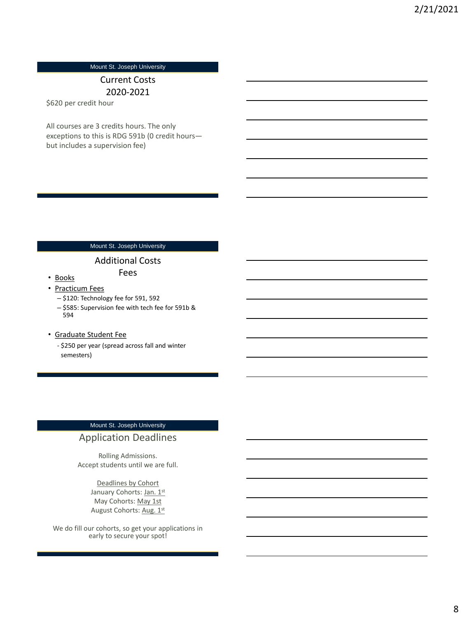# Current Costs 2020-2021

\$620 per credit hour

All courses are 3 credits hours. The only exceptions to this is RDG 591b (0 credit hours but includes a supervision fee)

# Mount St. Joseph University

## Additional Costs

Fees

## • Practicum Fees

• Books

- \$120: Technology fee for 591, 592
- \$585: Supervision fee with tech fee for 591b & 594

#### • Graduate Student Fee

- \$250 per year (spread across fall and winter semesters)

# Mount St. Joseph University

# Application Deadlines

Rolling Admissions. Accept students until we are full.

> Deadlines by Cohort January Cohorts: Jan. 1st May Cohorts: May 1st August Cohorts: Aug. 1st

We do fill our cohorts, so get your applications in early to secure your spot!